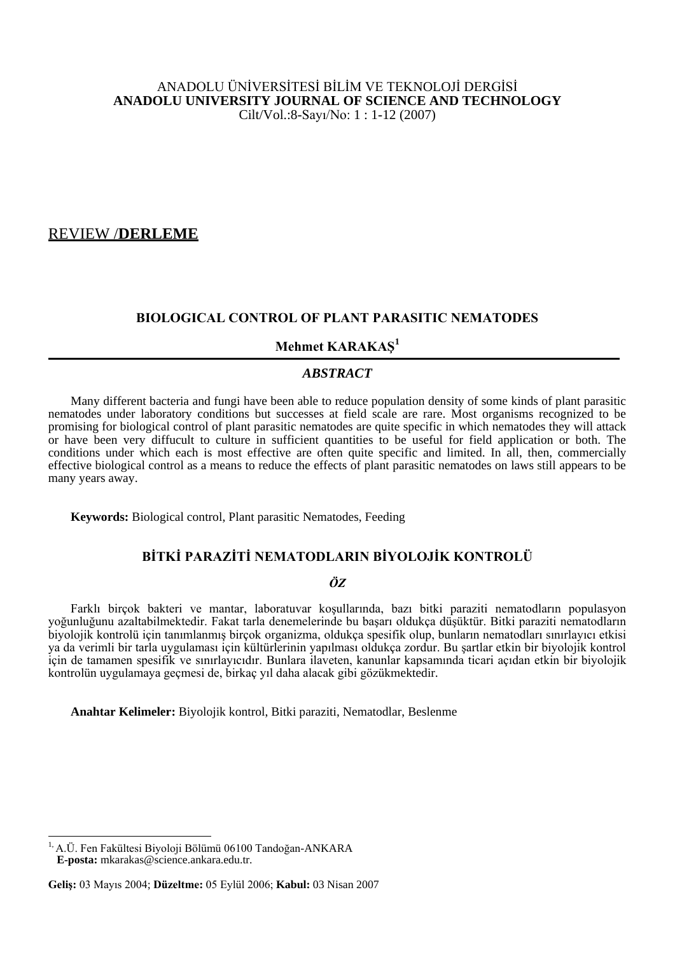# ANADOLU ÜNİVERSİTESİ BİLİM VE TEKNOLOJİ DERGİSİ **ANADOLU UNIVERSITY JOURNAL OF SCIENCE AND TECHNOLOGY** Cilt/Vol.:8-Sayı/No: 1 : 1-12 (2007)

# REVIEW /**DERLEME**

# **BIOLOGICAL CONTROL OF PLANT PARASITIC NEMATODES**

# **Mehmet KARAKAŞ<sup>1</sup>**

# *ABSTRACT*

Many different bacteria and fungi have been able to reduce population density of some kinds of plant parasitic nematodes under laboratory conditions but successes at field scale are rare. Most organisms recognized to be promising for biological control of plant parasitic nematodes are quite specific in which nematodes they will attack or have been very diffucult to culture in sufficient quantities to be useful for field application or both. The conditions under which each is most effective are often quite specific and limited. In all, then, commercially effective biological control as a means to reduce the effects of plant parasitic nematodes on laws still appears to be many years away.

**Keywords:** Biological control, Plant parasitic Nematodes, Feeding

# **BİTKİ PARAZİTİ NEMATODLARIN BİYOLOJİK KONTROLÜ**

# *ÖZ*

Farklı birçok bakteri ve mantar, laboratuvar koşullarında, bazı bitki paraziti nematodların populasyon yoğunluğunu azaltabilmektedir. Fakat tarla denemelerinde bu başarı oldukça düşüktür. Bitki paraziti nematodların biyolojik kontrolü için tanımlanmış birçok organizma, oldukça spesifik olup, bunların nematodları sınırlayıcı etkisi ya da verimli bir tarla uygulaması için kültürlerinin yapılması oldukça zordur. Bu şartlar etkin bir biyolojik kontrol için de tamamen spesifik ve sınırlayıcıdır. Bunlara ilaveten, kanunlar kapsamında ticari açıdan etkin bir biyolojik kontrolün uygulamaya geçmesi de, birkaç yıl daha alacak gibi gözükmektedir.

**Anahtar Kelimeler:** Biyolojik kontrol, Bitki paraziti, Nematodlar, Beslenme

 $\overline{a}$ 

<sup>&</sup>lt;sup>1,</sup> A.Ü. Fen Fakültesi Biyoloji Bölümü 06100 Tandoğan-ANKARA **E-posta:** mkarakas@science.ankara.edu.tr.

**Geliş:** 03 Mayıs 2004; **Düzeltme:** 05 Eylül 2006; **Kabul:** 03 Nisan 2007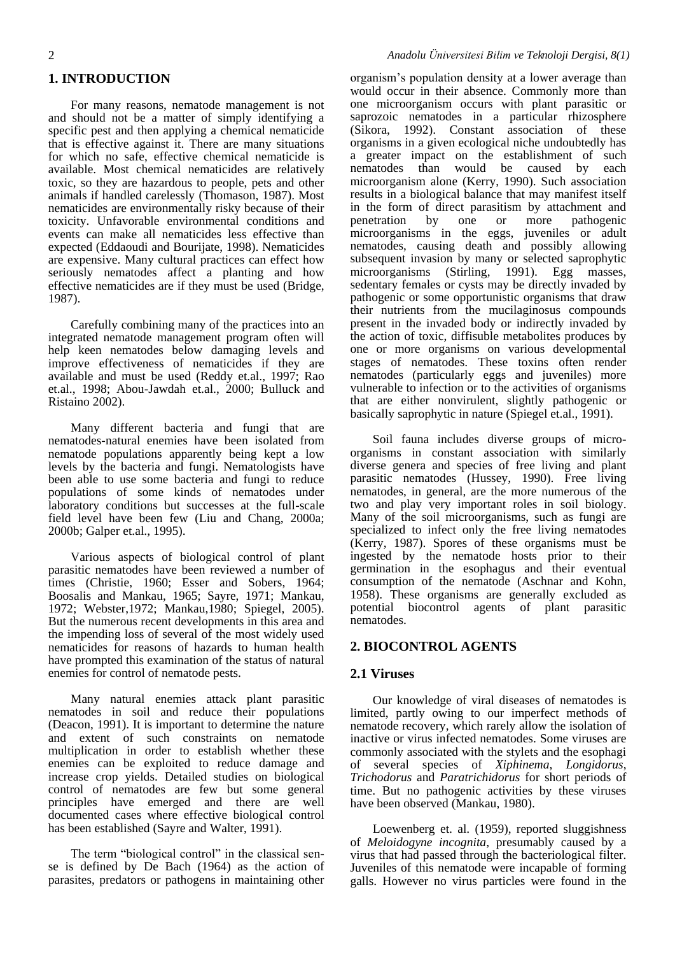# **1. INTRODUCTION**

For many reasons, nematode management is not and should not be a matter of simply identifying a specific pest and then applying a chemical nematicide that is effective against it. There are many situations for which no safe, effective chemical nematicide is available. Most chemical nematicides are relatively toxic, so they are hazardous to people, pets and other animals if handled carelessly (Thomason, 1987). Most nematicides are environmentally risky because of their toxicity. Unfavorable environmental conditions and events can make all nematicides less effective than expected (Eddaoudi and Bourijate, 1998). Nematicides are expensive. Many cultural practices can effect how seriously nematodes affect a planting and how effective nematicides are if they must be used (Bridge, 1987).

Carefully combining many of the practices into an integrated nematode management program often will help keen nematodes below damaging levels and improve effectiveness of nematicides if they are available and must be used (Reddy et.al., 1997; Rao et.al., 1998; Abou-Jawdah et.al., 2000; Bulluck and Ristaino 2002).

Many different bacteria and fungi that are nematodes-natural enemies have been isolated from nematode populations apparently being kept a low levels by the bacteria and fungi. Nematologists have been able to use some bacteria and fungi to reduce populations of some kinds of nematodes under laboratory conditions but successes at the full-scale field level have been few (Liu and Chang, 2000a; 2000b; Galper et.al., 1995).

Various aspects of biological control of plant parasitic nematodes have been reviewed a number of times (Christie, 1960; Esser and Sobers, 1964; Boosalis and Mankau, 1965; Sayre, 1971; Mankau, 1972; Webster,1972; Mankau,1980; Spiegel, 2005). But the numerous recent developments in this area and the impending loss of several of the most widely used nematicides for reasons of hazards to human health have prompted this examination of the status of natural enemies for control of nematode pests.

Many natural enemies attack plant parasitic nematodes in soil and reduce their populations (Deacon, 1991). It is important to determine the nature and extent of such constraints on nematode multiplication in order to establish whether these enemies can be exploited to reduce damage and increase crop yields. Detailed studies on biological control of nematodes are few but some general principles have emerged and there are well documented cases where effective biological control has been established (Sayre and Walter, 1991).

The term "biological control" in the classical sense is defined by De Bach (1964) as the action of parasites, predators or pathogens in maintaining other organism's population density at a lower average than would occur in their absence. Commonly more than one microorganism occurs with plant parasitic or saprozoic nematodes in a particular rhizosphere (Sikora, 1992). Constant association of these organisms in a given ecological niche undoubtedly has a greater impact on the establishment of such nematodes than would be caused by each microorganism alone (Kerry, 1990). Such association results in a biological balance that may manifest itself in the form of direct parasitism by attachment and penetration by one or more pathogenic microorganisms in the eggs, juveniles or adult nematodes, causing death and possibly allowing subsequent invasion by many or selected saprophytic microorganisms (Stirling, 1991). Egg masses, sedentary females or cysts may be directly invaded by pathogenic or some opportunistic organisms that draw their nutrients from the mucilaginosus compounds present in the invaded body or indirectly invaded by the action of toxic, diffisuble metabolites produces by one or more organisms on various developmental stages of nematodes. These toxins often render nematodes (particularly eggs and juveniles) more vulnerable to infection or to the activities of organisms that are either nonvirulent, slightly pathogenic or basically saprophytic in nature (Spiegel et.al., 1991).

Soil fauna includes diverse groups of microorganisms in constant association with similarly diverse genera and species of free living and plant parasitic nematodes (Hussey, 1990). Free living nematodes, in general, are the more numerous of the two and play very important roles in soil biology. Many of the soil microorganisms, such as fungi are specialized to infect only the free living nematodes (Kerry, 1987). Spores of these organisms must be ingested by the nematode hosts prior to their germination in the esophagus and their eventual consumption of the nematode (Aschnar and Kohn, 1958). These organisms are generally excluded as potential biocontrol agents of plant parasitic nematodes.

# **2. BIOCONTROL AGENTS**

#### **2.1 Viruses**

Our knowledge of viral diseases of nematodes is limited, partly owing to our imperfect methods of nematode recovery, which rarely allow the isolation of inactive or virus infected nematodes. Some viruses are commonly associated with the stylets and the esophagi of several species of *Xiphinema*, *Longidorus*, *Trichodorus* and *Paratrichidorus* for short periods of time. But no pathogenic activities by these viruses have been observed (Mankau, 1980).

Loewenberg et. al. (1959), reported sluggishness of *Meloidogyne incognita*, presumably caused by a virus that had passed through the bacteriological filter. Juveniles of this nematode were incapable of forming galls. However no virus particles were found in the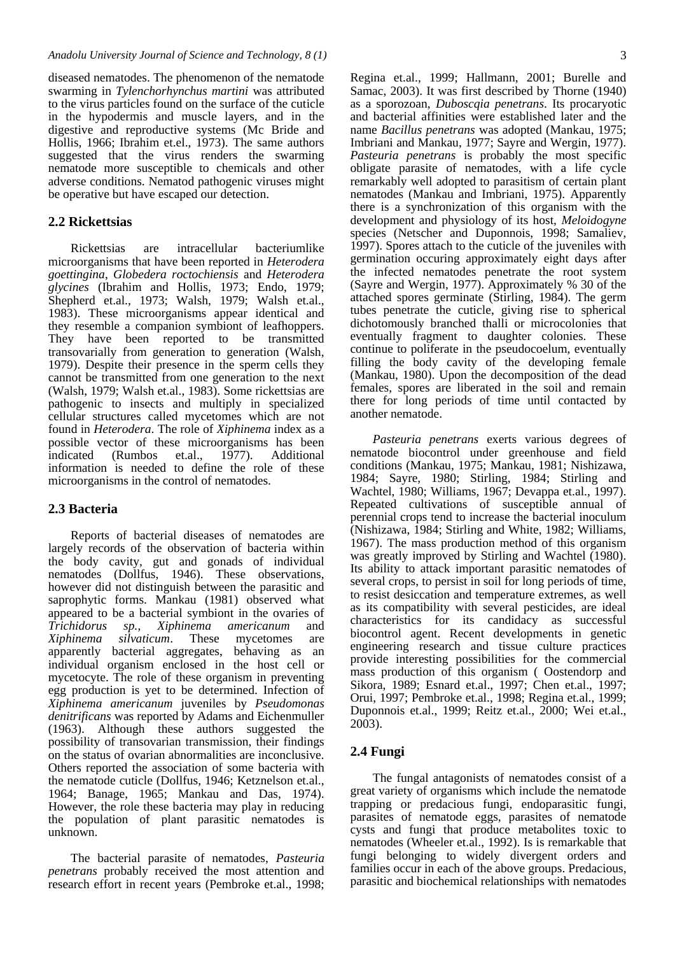diseased nematodes. The phenomenon of the nematode swarming in *Tylenchorhynchus martini* was attributed to the virus particles found on the surface of the cuticle in the hypodermis and muscle layers, and in the digestive and reproductive systems (Mc Bride and Hollis, 1966; Ibrahim et.el., 1973). The same authors suggested that the virus renders the swarming nematode more susceptible to chemicals and other adverse conditions. Nematod pathogenic viruses might be operative but have escaped our detection.

### **2.2 Rickettsias**

Rickettsias are intracellular bacteriumlike microorganisms that have been reported in *Heterodera goettingina*, *Globedera roctochiensis* and *Heterodera glycines* (Ibrahim and Hollis, 1973; Endo, 1979; Shepherd et.al., 1973; Walsh, 1979; Walsh et.al., 1983). These microorganisms appear identical and they resemble a companion symbiont of leafhoppers. They have been reported to be transmitted transovarially from generation to generation (Walsh, 1979). Despite their presence in the sperm cells they cannot be transmitted from one generation to the next (Walsh, 1979; Walsh et.al., 1983). Some rickettsias are pathogenic to insects and multiply in specialized cellular structures called mycetomes which are not found in *Heterodera*. The role of *Xiphinema* index as a possible vector of these microorganisms has been indicated (Rumbos et.al., 1977). Additional information is needed to define the role of these microorganisms in the control of nematodes.

#### **2.3 Bacteria**

Reports of bacterial diseases of nematodes are largely records of the observation of bacteria within the body cavity, gut and gonads of individual nematodes (Dollfus, 1946). These observations, however did not distinguish between the parasitic and saprophytic forms. Mankau (1981) observed what appeared to be a bacterial symbiont in the ovaries of *Trichidorus sp.*, *Xiphinema americanum* and *Xiphinema silvaticum*. These mycetomes are apparently bacterial aggregates, behaving as an individual organism enclosed in the host cell or mycetocyte. The role of these organism in preventing egg production is yet to be determined. Infection of *Xiphinema americanum* juveniles by *Pseudomonas denitrificans* was reported by Adams and Eichenmuller (1963). Although these authors suggested the possibility of transovarian transmission, their findings on the status of ovarian abnormalities are inconclusive. Others reported the association of some bacteria with the nematode cuticle (Dollfus, 1946; Ketznelson et.al., 1964; Banage, 1965; Mankau and Das, 1974). However, the role these bacteria may play in reducing the population of plant parasitic nematodes is unknown.

The bacterial parasite of nematodes, *Pasteuria penetrans* probably received the most attention and research effort in recent years (Pembroke et.al., 1998; Regina et.al., 1999; Hallmann, 2001; Burelle and Samac, 2003). It was first described by Thorne (1940) as a sporozoan, *Duboscqia penetrans*. Its procaryotic and bacterial affinities were established later and the name *Bacillus penetrans* was adopted (Mankau, 1975; Imbriani and Mankau, 1977; Sayre and Wergin, 1977). *Pasteuria penetrans* is probably the most specific obligate parasite of nematodes, with a life cycle remarkably well adopted to parasitism of certain plant nematodes (Mankau and Imbriani, 1975). Apparently there is a synchronization of this organism with the development and physiology of its host, *Meloidogyne* species (Netscher and Duponnois, 1998; Samaliev, 1997). Spores attach to the cuticle of the juveniles with germination occuring approximately eight days after the infected nematodes penetrate the root system (Sayre and Wergin, 1977). Approximately % 30 of the attached spores germinate (Stirling, 1984). The germ tubes penetrate the cuticle, giving rise to spherical dichotomously branched thalli or microcolonies that eventually fragment to daughter colonies. These continue to poliferate in the pseudocoelum, eventually filling the body cavity of the developing female (Mankau, 1980). Upon the decomposition of the dead females, spores are liberated in the soil and remain there for long periods of time until contacted by another nematode.

*Pasteuria penetrans* exerts various degrees of nematode biocontrol under greenhouse and field conditions (Mankau, 1975; Mankau, 1981; Nishizawa, 1984; Sayre, 1980; Stirling, 1984; Stirling and Wachtel, 1980; Williams, 1967; Devappa et.al., 1997). Repeated cultivations of susceptible annual of perennial crops tend to increase the bacterial inoculum (Nishizawa, 1984; Stirling and White, 1982; Williams, 1967). The mass production method of this organism was greatly improved by Stirling and Wachtel (1980). Its ability to attack important parasitic nematodes of several crops, to persist in soil for long periods of time, to resist desiccation and temperature extremes, as well as its compatibility with several pesticides, are ideal characteristics for its candidacy as successful biocontrol agent. Recent developments in genetic engineering research and tissue culture practices provide interesting possibilities for the commercial mass production of this organism ( Oostendorp and Sikora, 1989; Esnard et.al., 1997; Chen et.al., 1997; Orui, 1997; Pembroke et.al., 1998; Regina et.al., 1999; Duponnois et.al., 1999; Reitz et.al., 2000; Wei et.al., 2003).

#### **2.4 Fungi**

The fungal antagonists of nematodes consist of a great variety of organisms which include the nematode trapping or predacious fungi, endoparasitic fungi, parasites of nematode eggs, parasites of nematode cysts and fungi that produce metabolites toxic to nematodes (Wheeler et.al., 1992). Is is remarkable that fungi belonging to widely divergent orders and families occur in each of the above groups. Predacious, parasitic and biochemical relationships with nematodes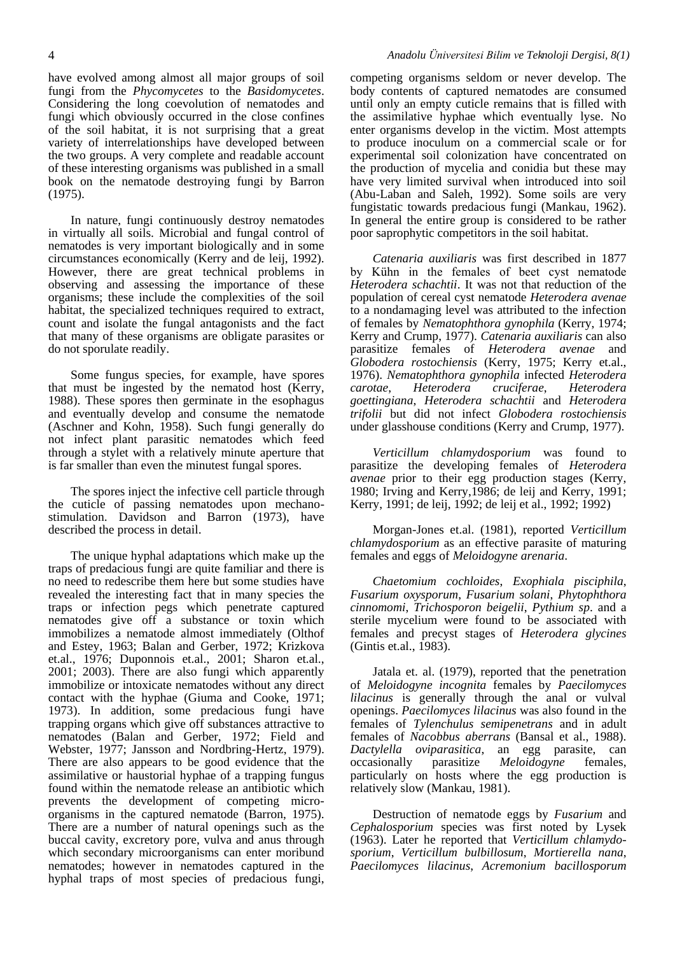have evolved among almost all major groups of soil fungi from the *Phycomycetes* to the *Basidomycetes*. Considering the long coevolution of nematodes and fungi which obviously occurred in the close confines of the soil habitat, it is not surprising that a great variety of interrelationships have developed between the two groups. A very complete and readable account of these interesting organisms was published in a small book on the nematode destroying fungi by Barron (1975).

In nature, fungi continuously destroy nematodes in virtually all soils. Microbial and fungal control of nematodes is very important biologically and in some circumstances economically (Kerry and de leij, 1992). However, there are great technical problems in observing and assessing the importance of these organisms; these include the complexities of the soil habitat, the specialized techniques required to extract, count and isolate the fungal antagonists and the fact that many of these organisms are obligate parasites or do not sporulate readily.

Some fungus species, for example, have spores that must be ingested by the nematod host (Kerry, 1988). These spores then germinate in the esophagus and eventually develop and consume the nematode (Aschner and Kohn, 1958). Such fungi generally do not infect plant parasitic nematodes which feed through a stylet with a relatively minute aperture that is far smaller than even the minutest fungal spores.

The spores inject the infective cell particle through the cuticle of passing nematodes upon mechanostimulation. Davidson and Barron (1973), have described the process in detail.

The unique hyphal adaptations which make up the traps of predacious fungi are quite familiar and there is no need to redescribe them here but some studies have revealed the interesting fact that in many species the traps or infection pegs which penetrate captured nematodes give off a substance or toxin which immobilizes a nematode almost immediately (Olthof and Estey, 1963; Balan and Gerber, 1972; Krizkova et.al., 1976; Duponnois et.al., 2001; Sharon et.al., 2001; 2003). There are also fungi which apparently immobilize or intoxicate nematodes without any direct contact with the hyphae (Giuma and Cooke, 1971; 1973). In addition, some predacious fungi have trapping organs which give off substances attractive to nematodes (Balan and Gerber, 1972; Field and Webster, 1977; Jansson and Nordbring-Hertz, 1979). There are also appears to be good evidence that the assimilative or haustorial hyphae of a trapping fungus found within the nematode release an antibiotic which prevents the development of competing microorganisms in the captured nematode (Barron, 1975). There are a number of natural openings such as the buccal cavity, excretory pore, vulva and anus through which secondary microorganisms can enter moribund nematodes; however in nematodes captured in the hyphal traps of most species of predacious fungi,

competing organisms seldom or never develop. The body contents of captured nematodes are consumed until only an empty cuticle remains that is filled with the assimilative hyphae which eventually lyse. No enter organisms develop in the victim. Most attempts to produce inoculum on a commercial scale or for experimental soil colonization have concentrated on the production of mycelia and conidia but these may have very limited survival when introduced into soil (Abu-Laban and Saleh, 1992). Some soils are very fungistatic towards predacious fungi (Mankau, 1962). In general the entire group is considered to be rather poor saprophytic competitors in the soil habitat.

*Catenaria auxiliaris* was first described in 1877 by Kühn in the females of beet cyst nematode *Heterodera schachtii*. It was not that reduction of the population of cereal cyst nematode *Heterodera avenae* to a nondamaging level was attributed to the infection of females by *Nematophthora gynophila* (Kerry, 1974; Kerry and Crump, 1977). *Catenaria auxiliaris* can also parasitize females of *Heterodera avenae* and *Globodera rostochiensis* (Kerry, 1975; Kerry et.al., 1976). *Nematophthora gynophila* infected *Heterodera carotae*, *Heterodera cruciferae*, *Heterodera goettingiana*, *Heterodera schachtii* and *Heterodera trifolii* but did not infect *Globodera rostochiensis* under glasshouse conditions (Kerry and Crump, 1977).

*Verticillum chlamydosporium* was found to parasitize the developing females of *Heterodera avenae* prior to their egg production stages (Kerry, 1980; Irving and Kerry,1986; de leij and Kerry, 1991; Kerry, 1991; de leij, 1992; de leij et al., 1992; 1992)

Morgan-Jones et.al. (1981), reported *Verticillum chlamydosporium* as an effective parasite of maturing females and eggs of *Meloidogyne arenaria*.

*Chaetomium cochloides*, *Exophiala pisciphila*, *Fusarium oxysporum*, *Fusarium solani*, *Phytophthora cinnomomi*, *Trichosporon beigelii*, *Pythium sp*. and a sterile mycelium were found to be associated with females and precyst stages of *Heterodera glycines* (Gintis et.al., 1983).

Jatala et. al. (1979), reported that the penetration of *Meloidogyne incognita* females by *Paecilomyces lilacinus* is generally through the anal or vulval openings. *Paecilomyces lilacinus* was also found in the females of *Tylenchulus semipenetrans* and in adult females of *Nacobbus aberrans* (Bansal et al., 1988). *Dactylella oviparasitica*, an egg parasite, can occasionally parasitize *Meloidogyne* females, particularly on hosts where the egg production is relatively slow (Mankau, 1981).

Destruction of nematode eggs by *Fusarium* and *Cephalosporium* species was first noted by Lysek (1963). Later he reported that *Verticillum chlamydosporium*, *Verticillum bulbillosum*, *Mortierella nana*, *Paecilomyces lilacinus*, *Acremonium bacillosporum*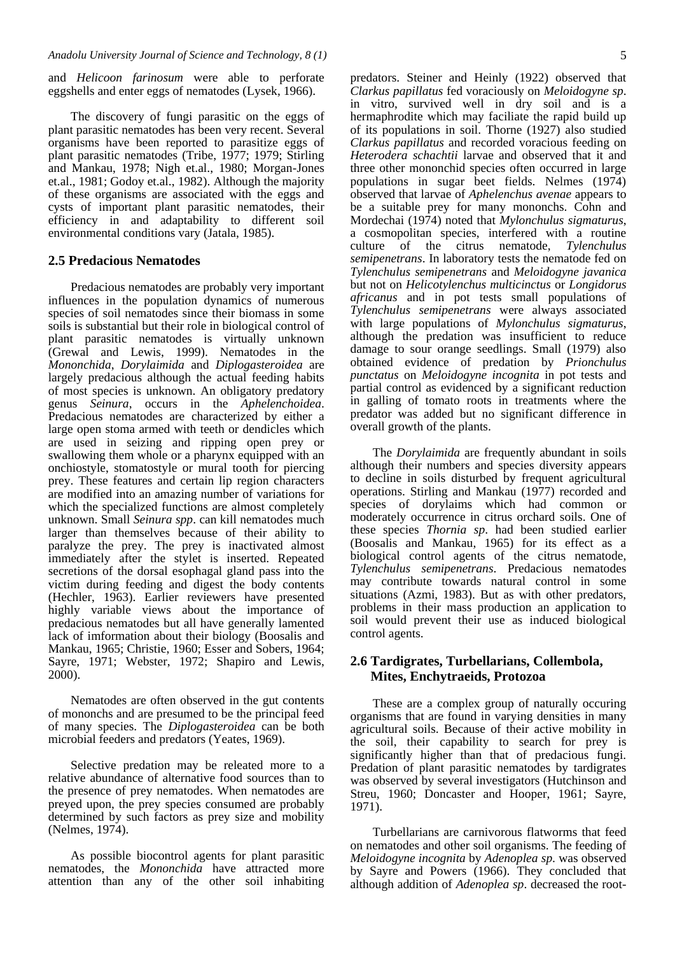and *Helicoon farinosum* were able to perforate eggshells and enter eggs of nematodes (Lysek, 1966).

The discovery of fungi parasitic on the eggs of plant parasitic nematodes has been very recent. Several organisms have been reported to parasitize eggs of plant parasitic nematodes (Tribe, 1977; 1979; Stirling and Mankau, 1978; Nigh et.al., 1980; Morgan-Jones et.al., 1981; Godoy et.al., 1982). Although the majority of these organisms are associated with the eggs and cysts of important plant parasitic nematodes, their efficiency in and adaptability to different soil environmental conditions vary (Jatala, 1985).

#### **2.5 Predacious Nematodes**

Predacious nematodes are probably very important influences in the population dynamics of numerous species of soil nematodes since their biomass in some soils is substantial but their role in biological control of plant parasitic nematodes is virtually unknown (Grewal and Lewis, 1999). Nematodes in the *Mononchida*, *Dorylaimida* and *Diplogasteroidea* are largely predacious although the actual feeding habits of most species is unknown. An obligatory predatory genus *Seinura*, occurs in the *Aphelenchoidea*. Predacious nematodes are characterized by either a large open stoma armed with teeth or dendicles which are used in seizing and ripping open prey or swallowing them whole or a pharynx equipped with an onchiostyle, stomatostyle or mural tooth for piercing prey. These features and certain lip region characters are modified into an amazing number of variations for which the specialized functions are almost completely unknown. Small *Seinura spp*. can kill nematodes much larger than themselves because of their ability to paralyze the prey. The prey is inactivated almost immediately after the stylet is inserted. Repeated secretions of the dorsal esophagal gland pass into the victim during feeding and digest the body contents (Hechler, 1963). Earlier reviewers have presented highly variable views about the importance of predacious nematodes but all have generally lamented lack of imformation about their biology (Boosalis and Mankau, 1965; Christie, 1960; Esser and Sobers, 1964; Sayre, 1971; Webster, 1972; Shapiro and Lewis, 2000).

Nematodes are often observed in the gut contents of mononchs and are presumed to be the principal feed of many species. The *Diplogasteroidea* can be both microbial feeders and predators (Yeates, 1969).

Selective predation may be releated more to a relative abundance of alternative food sources than to the presence of prey nematodes. When nematodes are preyed upon, the prey species consumed are probably determined by such factors as prey size and mobility (Nelmes, 1974).

As possible biocontrol agents for plant parasitic nematodes, the *Mononchida* have attracted more attention than any of the other soil inhabiting

predators. Steiner and Heinly (1922) observed that *Clarkus papillatus* fed voraciously on *Meloidogyne sp*. in vitro, survived well in dry soil and is a hermaphrodite which may faciliate the rapid build up of its populations in soil. Thorne (1927) also studied *Clarkus papillatus* and recorded voracious feeding on *Heterodera schachtii* larvae and observed that it and three other mononchid species often occurred in large populations in sugar beet fields. Nelmes (1974) observed that larvae of *Aphelenchus avenae* appears to be a suitable prey for many mononchs. Cohn and Mordechai (1974) noted that *Mylonchulus sigmaturus*, a cosmopolitan species, interfered with a routine culture of the citrus nematode, *Tylenchulus semipenetrans*. In laboratory tests the nematode fed on *Tylenchulus semipenetrans* and *Meloidogyne javanica* but not on *Helicotylenchus multicinctus* or *Longidorus africanus* and in pot tests small populations of *Tylenchulus semipenetrans* were always associated with large populations of *Mylonchulus sigmaturus*, although the predation was insufficient to reduce damage to sour orange seedlings. Small (1979) also obtained evidence of predation by *Prionchulus punctatus* on *Meloidogyne incognita* in pot tests and partial control as evidenced by a significant reduction in galling of tomato roots in treatments where the predator was added but no significant difference in overall growth of the plants.

The *Dorylaimida* are frequently abundant in soils although their numbers and species diversity appears to decline in soils disturbed by frequent agricultural operations. Stirling and Mankau (1977) recorded and species of dorylaims which had common or moderately occurrence in citrus orchard soils. One of these species *Thornia sp*. had been studied earlier (Boosalis and Mankau, 1965) for its effect as a biological control agents of the citrus nematode, *Tylenchulus semipenetrans*. Predacious nematodes may contribute towards natural control in some situations (Azmi, 1983). But as with other predators, problems in their mass production an application to soil would prevent their use as induced biological control agents.

# **2.6 Tardigrates, Turbellarians, Collembola, Mites, Enchytraeids, Protozoa**

These are a complex group of naturally occuring organisms that are found in varying densities in many agricultural soils. Because of their active mobility in the soil, their capability to search for prey is significantly higher than that of predacious fungi. Predation of plant parasitic nematodes by tardigrates was observed by several investigators (Hutchinson and Streu, 1960; Doncaster and Hooper, 1961; Sayre, 1971).

Turbellarians are carnivorous flatworms that feed on nematodes and other soil organisms. The feeding of *Meloidogyne incognita* by *Adenoplea sp*. was observed by Sayre and Powers (1966). They concluded that although addition of *Adenoplea sp*. decreased the root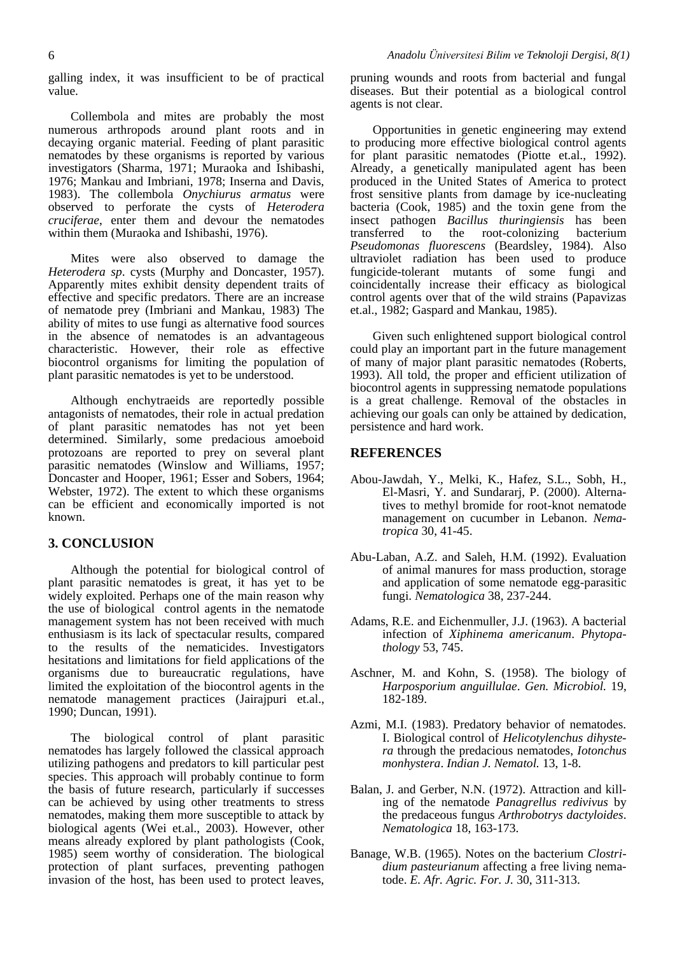galling index, it was insufficient to be of practical value.

Collembola and mites are probably the most numerous arthropods around plant roots and in decaying organic material. Feeding of plant parasitic nematodes by these organisms is reported by various investigators (Sharma, 1971; Muraoka and Ishibashi, 1976; Mankau and Imbriani, 1978; Inserna and Davis, 1983). The collembola *Onychiurus armatus* were observed to perforate the cysts of *Heterodera cruciferae*, enter them and devour the nematodes within them (Muraoka and Ishibashi, 1976).

Mites were also observed to damage the *Heterodera sp*. cysts (Murphy and Doncaster, 1957). Apparently mites exhibit density dependent traits of effective and specific predators. There are an increase of nematode prey (Imbriani and Mankau, 1983) The ability of mites to use fungi as alternative food sources in the absence of nematodes is an advantageous characteristic. However, their role as effective biocontrol organisms for limiting the population of plant parasitic nematodes is yet to be understood.

Although enchytraeids are reportedly possible antagonists of nematodes, their role in actual predation of plant parasitic nematodes has not yet been determined. Similarly, some predacious amoeboid protozoans are reported to prey on several plant parasitic nematodes (Winslow and Williams, 1957; Doncaster and Hooper, 1961; Esser and Sobers, 1964; Webster, 1972). The extent to which these organisms can be efficient and economically imported is not known.

#### **3. CONCLUSION**

Although the potential for biological control of plant parasitic nematodes is great, it has yet to be widely exploited. Perhaps one of the main reason why the use of biological control agents in the nematode management system has not been received with much enthusiasm is its lack of spectacular results, compared to the results of the nematicides. Investigators hesitations and limitations for field applications of the organisms due to bureaucratic regulations, have limited the exploitation of the biocontrol agents in the nematode management practices (Jairajpuri et.al., 1990; Duncan, 1991).

The biological control of plant parasitic nematodes has largely followed the classical approach utilizing pathogens and predators to kill particular pest species. This approach will probably continue to form the basis of future research, particularly if successes can be achieved by using other treatments to stress nematodes, making them more susceptible to attack by biological agents (Wei et.al., 2003). However, other means already explored by plant pathologists (Cook, 1985) seem worthy of consideration. The biological protection of plant surfaces, preventing pathogen invasion of the host, has been used to protect leaves, pruning wounds and roots from bacterial and fungal diseases. But their potential as a biological control agents is not clear.

Opportunities in genetic engineering may extend to producing more effective biological control agents for plant parasitic nematodes (Piotte et.al., 1992). Already, a genetically manipulated agent has been produced in the United States of America to protect frost sensitive plants from damage by ice-nucleating bacteria (Cook, 1985) and the toxin gene from the insect pathogen *Bacillus thuringiensis* has been transferred to the root-colonizing bacterium *Pseudomonas fluorescens* (Beardsley, 1984). Also ultraviolet radiation has been used to produce fungicide-tolerant mutants of some fungi and coincidentally increase their efficacy as biological control agents over that of the wild strains (Papavizas et.al., 1982; Gaspard and Mankau, 1985).

Given such enlightened support biological control could play an important part in the future management of many of major plant parasitic nematodes (Roberts, 1993). All told, the proper and efficient utilization of biocontrol agents in suppressing nematode populations is a great challenge. Removal of the obstacles in achieving our goals can only be attained by dedication, persistence and hard work.

#### **REFERENCES**

- Abou-Jawdah, Y., Melki, K., Hafez, S.L., Sobh, H., El-Masri, Y. and Sundararj, P. (2000). Alternatives to methyl bromide for root-knot nematode management on cucumber in Lebanon. *Nematropica* 30, 41-45.
- Abu-Laban, A.Z. and Saleh, H.M. (1992). Evaluation of animal manures for mass production, storage and application of some nematode egg-parasitic fungi. *Nematologica* 38, 237-244.
- Adams, R.E. and Eichenmuller, J.J. (1963). A bacterial infection of *Xiphinema americanum*. *Phytopathology* 53, 745.
- Aschner, M. and Kohn, S. (1958). The biology of *Harposporium anguillulae*. *Gen. Microbiol.* 19, 182-189.
- Azmi, M.I. (1983). Predatory behavior of nematodes. I. Biological control of *Helicotylenchus dihystera* through the predacious nematodes, *Iotonchus monhystera*. *Indian J. Nematol.* 13, 1-8.
- Balan, J. and Gerber, N.N. (1972). Attraction and killing of the nematode *Panagrellus redivivus* by the predaceous fungus *Arthrobotrys dactyloides*. *Nematologica* 18, 163-173.
- Banage, W.B. (1965). Notes on the bacterium *Clostridium pasteurianum* affecting a free living nematode. *E. Afr. Agric. For. J.* 30, 311-313.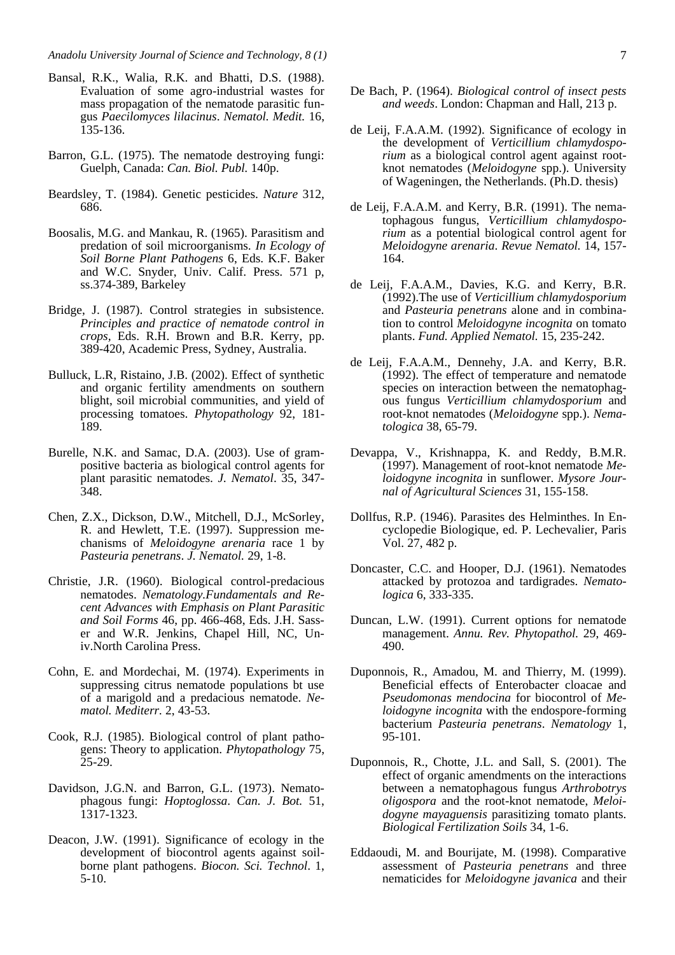- Bansal, R.K., Walia, R.K. and Bhatti, D.S. (1988). Evaluation of some agro-industrial wastes for mass propagation of the nematode parasitic fungus *Paecilomyces lilacinus*. *Nematol. Medit.* 16, 135-136.
- Barron, G.L. (1975). The nematode destroying fungi: Guelph, Canada: *Can. Biol. Publ.* 140p.
- Beardsley, T. (1984). Genetic pesticides. *Nature* 312, 686.
- Boosalis, M.G. and Mankau, R. (1965). Parasitism and predation of soil microorganisms. *In Ecology of Soil Borne Plant Pathogens* 6, Eds. K.F. Baker and W.C. Snyder, Univ. Calif. Press. 571 p, ss.374-389, Barkeley
- Bridge, J. (1987). Control strategies in subsistence. *Principles and practice of nematode control in crops,* Eds. R.H. Brown and B.R. Kerry, pp. 389-420, Academic Press, Sydney, Australia.
- Bulluck, L.R, Ristaino, J.B. (2002). Effect of synthetic and organic fertility amendments on southern blight, soil microbial communities, and yield of processing tomatoes. *Phytopathology* 92, 181- 189.
- Burelle, N.K. and Samac, D.A. (2003). Use of grampositive bacteria as biological control agents for plant parasitic nematodes. *J. Nematol*. 35, 347- 348.
- Chen, Z.X., Dickson, D.W., Mitchell, D.J., McSorley, R. and Hewlett, T.E. (1997). Suppression mechanisms of *Meloidogyne arenaria* race 1 by *Pasteuria penetrans*. *J. Nematol.* 29, 1-8.
- Christie, J.R. (1960). Biological control-predacious nematodes. *Nematology.Fundamentals and Recent Advances with Emphasis on Plant Parasitic and Soil Forms* 46, pp. 466-468, Eds. J.H. Sasser and W.R. Jenkins, Chapel Hill, NC, Univ.North Carolina Press.
- Cohn, E. and Mordechai, M. (1974). Experiments in suppressing citrus nematode populations bt use of a marigold and a predacious nematode. *Nematol. Mediterr.* 2, 43-53.
- Cook, R.J. (1985). Biological control of plant pathogens: Theory to application. *Phytopathology* 75,  $25-29.$
- Davidson, J.G.N. and Barron, G.L. (1973). Nematophagous fungi: *Hoptoglossa*. *Can. J. Bot.* 51, 1317-1323.
- Deacon, J.W. (1991). Significance of ecology in the development of biocontrol agents against soilborne plant pathogens. *Biocon. Sci. Technol*. 1, 5-10.
- De Bach, P. (1964). *Biological control of insect pests and weeds*. London: Chapman and Hall, 213 p.
- de Leij, F.A.A.M. (1992). Significance of ecology in the development of *Verticillium chlamydosporium* as a biological control agent against rootknot nematodes (*Meloidogyne* spp.). University of Wageningen, the Netherlands. (Ph.D. thesis)
- de Leij, F.A.A.M. and Kerry, B.R. (1991). The nematophagous fungus, *Verticillium chlamydosporium* as a potential biological control agent for *Meloidogyne arenaria*. *Revue Nematol.* 14, 157- 164.
- de Leij, F.A.A.M., Davies, K.G. and Kerry, B.R. (1992).The use of *Verticillium chlamydosporium* and *Pasteuria penetrans* alone and in combination to control *Meloidogyne incognita* on tomato plants. *Fund. Applied Nematol.* 15, 235-242.
- de Leij, F.A.A.M., Dennehy, J.A. and Kerry, B.R. (1992). The effect of temperature and nematode species on interaction between the nematophagous fungus *Verticillium chlamydosporium* and root-knot nematodes (*Meloidogyne* spp.). *Nematologica* 38, 65-79.
- Devappa, V., Krishnappa, K. and Reddy, B.M.R. (1997). Management of root-knot nematode *Meloidogyne incognita* in sunflower. *Mysore Journal of Agricultural Sciences* 31, 155-158.
- Dollfus, R.P. (1946). Parasites des Helminthes. In Encyclopedie Biologique, ed. P. Lechevalier, Paris Vol. 27, 482 p.
- Doncaster, C.C. and Hooper, D.J. (1961). Nematodes attacked by protozoa and tardigrades. *Nematologica* 6, 333-335.
- Duncan, L.W. (1991). Current options for nematode management. *Annu. Rev. Phytopathol.* 29, 469- 490.
- Duponnois, R., Amadou, M. and Thierry, M. (1999). Beneficial effects of Enterobacter cloacae and *Pseudomonas mendocina* for biocontrol of *Meloidogyne incognita* with the endospore-forming bacterium *Pasteuria penetrans*. *Nematology* 1, 95-101.
- Duponnois, R., Chotte, J.L. and Sall, S. (2001). The effect of organic amendments on the interactions between a nematophagous fungus *Arthrobotrys oligospora* and the root-knot nematode, *Meloidogyne mayaguensis* parasitizing tomato plants. *Biological Fertilization Soils* 34, 1-6.
- Eddaoudi, M. and Bourijate, M. (1998). Comparative assessment of *Pasteuria penetrans* and three nematicides for *Meloidogyne javanica* and their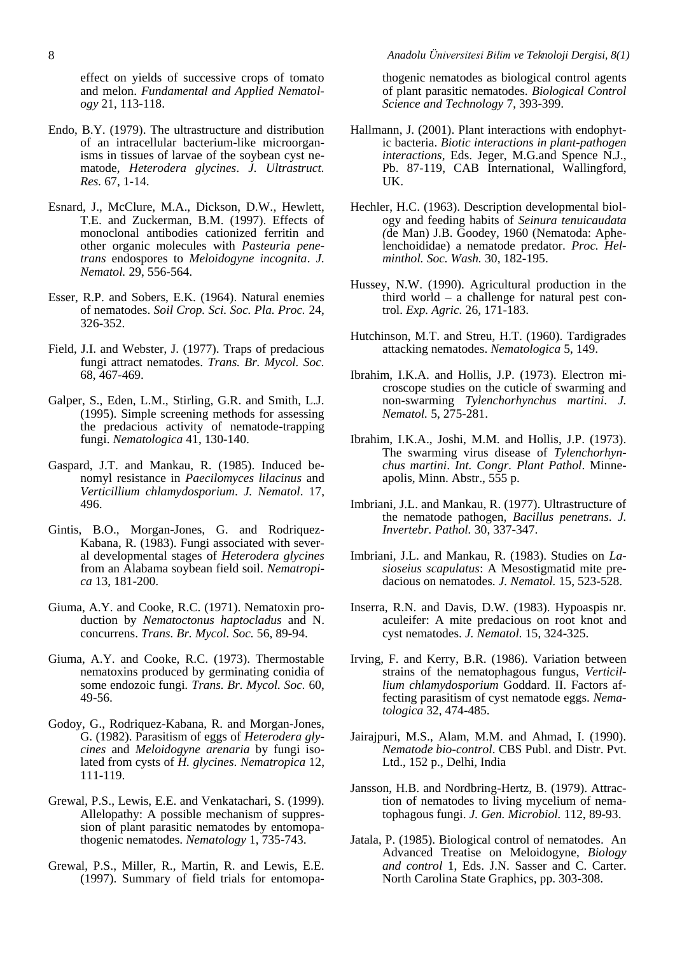effect on yields of successive crops of tomato and melon. *Fundamental and Applied Nematology* 21, 113-118.

- Endo, B.Y. (1979). The ultrastructure and distribution of an intracellular bacterium-like microorganisms in tissues of larvae of the soybean cyst nematode, *Heterodera glycines*. *J. Ultrastruct. Res.* 67, 1-14.
- Esnard, J., McClure, M.A., Dickson, D.W., Hewlett, T.E. and Zuckerman, B.M. (1997). Effects of monoclonal antibodies cationized ferritin and other organic molecules with *Pasteuria penetrans* endospores to *Meloidogyne incognita*. *J. Nematol.* 29, 556-564.
- Esser, R.P. and Sobers, E.K. (1964). Natural enemies of nematodes. *Soil Crop. Sci. Soc. Pla. Proc.* 24, 326-352.
- Field, J.I. and Webster, J. (1977). Traps of predacious fungi attract nematodes. *Trans. Br. Mycol. Soc.* 68, 467-469.
- Galper, S., Eden, L.M., Stirling, G.R. and Smith, L.J. (1995). Simple screening methods for assessing the predacious activity of nematode-trapping fungi. *Nematologica* 41, 130-140.
- Gaspard, J.T. and Mankau, R. (1985). Induced benomyl resistance in *Paecilomyces lilacinus* and *Verticillium chlamydosporium*. *J. Nematol*. 17, 496.
- Gintis, B.O., Morgan-Jones, G. and Rodriquez-Kabana, R. (1983). Fungi associated with several developmental stages of *Heterodera glycines* from an Alabama soybean field soil. *Nematropica* 13, 181-200.
- Giuma, A.Y. and Cooke, R.C. (1971). Nematoxin production by *Nematoctonus haptocladus* and N. concurrens. *Trans. Br. Mycol. Soc.* 56, 89-94.
- Giuma, A.Y. and Cooke, R.C. (1973). Thermostable nematoxins produced by germinating conidia of some endozoic fungi*. Trans. Br. Mycol. Soc.* 60, 49-56.
- Godoy, G., Rodriquez-Kabana, R. and Morgan-Jones, G. (1982). Parasitism of eggs of *Heterodera glycines* and *Meloidogyne arenaria* by fungi isolated from cysts of *H. glycines*. *Nematropica* 12, 111-119.
- Grewal, P.S., Lewis, E.E. and Venkatachari, S. (1999). Allelopathy: A possible mechanism of suppression of plant parasitic nematodes by entomopathogenic nematodes. *Nematology* 1, 735-743.
- Grewal, P.S., Miller, R., Martin, R. and Lewis, E.E. (1997). Summary of field trials for entomopa-

thogenic nematodes as biological control agents of plant parasitic nematodes. *Biological Control Science and Technology* 7, 393-399.

- Hallmann, J. (2001). Plant interactions with endophytic bacteria. *Biotic interactions in plant-pathogen interactions,* Eds. Jeger, M.G.and Spence N.J., Pb. 87-119, CAB International, Wallingford, UK.
- Hechler, H.C. (1963). Description developmental biology and feeding habits of *Seinura tenuicaudata (*de Man) J.B. Goodey, 1960 (Nematoda: Aphelenchoididae) a nematode predator. *Proc. Helminthol. Soc. Wash.* 30, 182-195.
- Hussey, N.W. (1990). Agricultural production in the third world – a challenge for natural pest control. *Exp. Agric.* 26, 171-183.
- Hutchinson, M.T. and Streu, H.T. (1960). Tardigrades attacking nematodes. *Nematologica* 5, 149.
- Ibrahim, I.K.A. and Hollis, J.P. (1973). Electron microscope studies on the cuticle of swarming and non-swarming *Tylenchorhynchus martini*. *J. Nematol.* 5, 275-281.
- Ibrahim, I.K.A., Joshi, M.M. and Hollis, J.P. (1973). The swarming virus disease of *Tylenchorhynchus martini*. *Int. Congr. Plant Pathol*. Minneapolis, Minn. Abstr., 555 p.
- Imbriani, J.L. and Mankau, R. (1977). Ultrastructure of the nematode pathogen, *Bacillus penetrans*. *J. Invertebr. Pathol.* 30, 337-347.
- Imbriani, J.L. and Mankau, R. (1983). Studies on *Lasioseius scapulatus*: A Mesostigmatid mite predacious on nematodes. *J. Nematol.* 15, 523-528.
- Inserra, R.N. and Davis, D.W. (1983). Hypoaspis nr. aculeifer: A mite predacious on root knot and cyst nematodes. *J. Nematol.* 15, 324-325.
- Irving, F. and Kerry, B.R. (1986). Variation between strains of the nematophagous fungus, *Verticillium chlamydosporium* Goddard. II. Factors affecting parasitism of cyst nematode eggs. *Nematologica* 32, 474-485.
- Jairajpuri, M.S., Alam, M.M. and Ahmad, I. (1990). *Nematode bio-control*. CBS Publ. and Distr. Pvt. Ltd., 152 p., Delhi, India
- Jansson, H.B. and Nordbring-Hertz, B. (1979). Attraction of nematodes to living mycelium of nematophagous fungi. *J. Gen. Microbiol.* 112, 89-93.
- Jatala, P. (1985). Biological control of nematodes. An Advanced Treatise on Meloidogyne, *Biology and control* 1, Eds. J.N. Sasser and C. Carter. North Carolina State Graphics, pp. 303-308.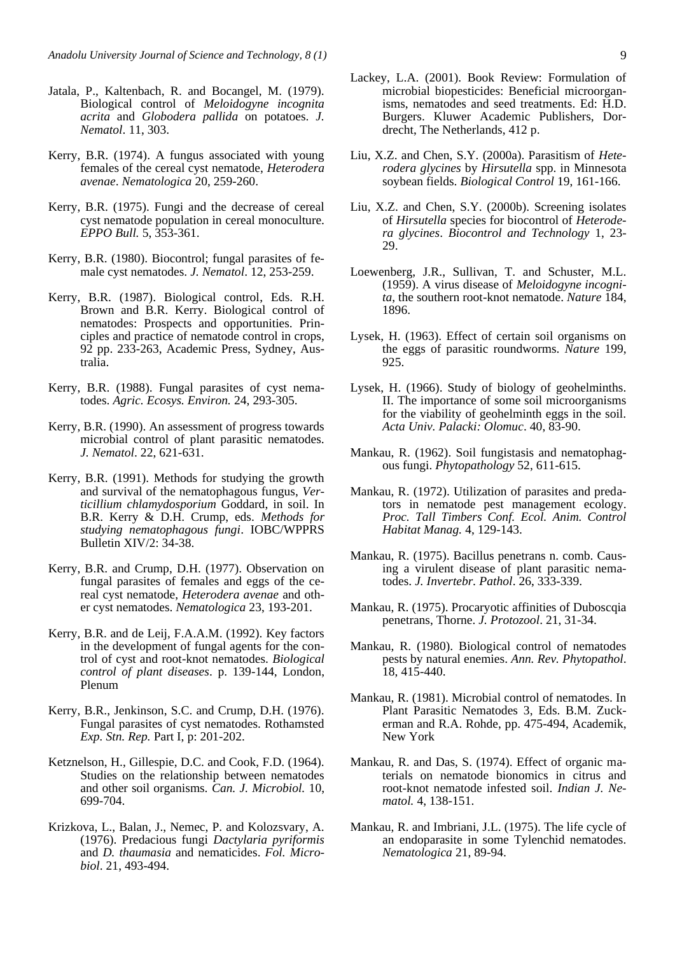- Jatala, P., Kaltenbach, R. and Bocangel, M. (1979). Biological control of *Meloidogyne incognita acrita* and *Globodera pallida* on potatoes. *J. Nematol*. 11, 303.
- Kerry, B.R. (1974). A fungus associated with young females of the cereal cyst nematode, *Heterodera avenae*. *Nematologica* 20, 259-260.
- Kerry, B.R. (1975). Fungi and the decrease of cereal cyst nematode population in cereal monoculture. *EPPO Bull.* 5, 353-361.
- Kerry, B.R. (1980). Biocontrol; fungal parasites of female cyst nematodes. *J. Nematol*. 12, 253-259.
- Kerry, B.R. (1987). Biological control, Eds. R.H. Brown and B.R. Kerry. Biological control of nematodes: Prospects and opportunities. Principles and practice of nematode control in crops, 92 pp. 233-263, Academic Press, Sydney, Australia.
- Kerry, B.R. (1988). Fungal parasites of cyst nematodes. *Agric. Ecosys. Environ.* 24, 293-305.
- Kerry, B.R. (1990). An assessment of progress towards microbial control of plant parasitic nematodes. *J. Nematol*. 22, 621-631.
- Kerry, B.R. (1991). Methods for studying the growth and survival of the nematophagous fungus, *Verticillium chlamydosporium* Goddard, in soil. In B.R. Kerry & D.H. Crump, eds. *Methods for studying nematophagous fungi*. IOBC/WPPRS Bulletin XIV/2: 34-38.
- Kerry, B.R. and Crump, D.H. (1977). Observation on fungal parasites of females and eggs of the cereal cyst nematode, *Heterodera avenae* and other cyst nematodes. *Nematologica* 23, 193-201.
- Kerry, B.R. and de Leij, F.A.A.M. (1992). Key factors in the development of fungal agents for the control of cyst and root-knot nematodes. *Biological control of plant diseases*. p. 139-144, London, Plenum
- Kerry, B.R., Jenkinson, S.C. and Crump, D.H. (1976). Fungal parasites of cyst nematodes. Rothamsted *Exp. Stn. Rep.* Part I, p: 201-202.
- Ketznelson, H., Gillespie, D.C. and Cook, F.D. (1964). Studies on the relationship between nematodes and other soil organisms. *Can. J. Microbiol.* 10, 699-704.
- Krizkova, L., Balan, J., Nemec, P. and Kolozsvary, A. (1976). Predacious fungi *Dactylaria pyriformis* and *D. thaumasia* and nematicides. *Fol. Microbiol*. 21, 493-494.
- Lackey, L.A. (2001). Book Review: Formulation of microbial biopesticides: Beneficial microorganisms, nematodes and seed treatments. Ed: H.D. Burgers. Kluwer Academic Publishers, Dordrecht, The Netherlands, 412 p.
- Liu, X.Z. and Chen, S.Y. (2000a). Parasitism of *Heterodera glycines* by *Hirsutella* spp. in Minnesota soybean fields. *Biological Control* 19, 161-166.
- Liu, X.Z. and Chen, S.Y. (2000b). Screening isolates of *Hirsutella* species for biocontrol of *Heterodera glycines*. *Biocontrol and Technology* 1, 23- 29.
- Loewenberg, J.R., Sullivan, T. and Schuster, M.L. (1959). A virus disease of *Meloidogyne incognita*, the southern root-knot nematode. *Nature* 184, 1896.
- Lysek, H. (1963). Effect of certain soil organisms on the eggs of parasitic roundworms. *Nature* 199, 925.
- Lysek, H. (1966). Study of biology of geohelminths. II. The importance of some soil microorganisms for the viability of geohelminth eggs in the soil. *Acta Univ. Palacki: Olomuc*. 40, 83-90.
- Mankau, R. (1962). Soil fungistasis and nematophagous fungi. *Phytopathology* 52, 611-615.
- Mankau, R. (1972). Utilization of parasites and predators in nematode pest management ecology. *Proc. Tall Timbers Conf. Ecol. Anim. Control Habitat Manag.* 4, 129-143.
- Mankau, R. (1975). Bacillus penetrans n. comb. Causing a virulent disease of plant parasitic nematodes. *J. Invertebr. Pathol*. 26, 333-339.
- Mankau, R. (1975). Procaryotic affinities of Duboscqia penetrans, Thorne. *J. Protozool*. 21, 31-34.
- Mankau, R. (1980). Biological control of nematodes pests by natural enemies. *Ann. Rev. Phytopathol*. 18, 415-440.
- Mankau, R. (1981). Microbial control of nematodes. In Plant Parasitic Nematodes 3, Eds. B.M. Zuckerman and R.A. Rohde, pp. 475-494, Academik, New York
- Mankau, R. and Das, S. (1974). Effect of organic materials on nematode bionomics in citrus and root-knot nematode infested soil. *Indian J. Nematol.* 4, 138-151.
- Mankau, R. and Imbriani, J.L. (1975). The life cycle of an endoparasite in some Tylenchid nematodes. *Nematologica* 21, 89-94.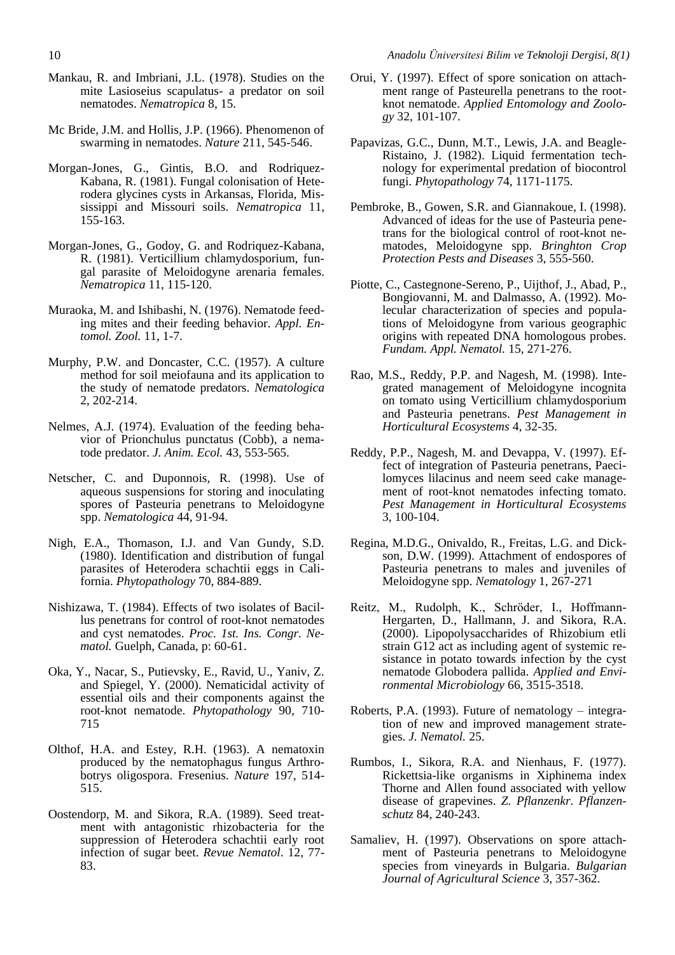- Mankau, R. and Imbriani, J.L. (1978). Studies on the mite Lasioseius scapulatus- a predator on soil nematodes. *Nematropica* 8, 15.
- Mc Bride, J.M. and Hollis, J.P. (1966). Phenomenon of swarming in nematodes. *Nature* 211, 545-546.
- Morgan-Jones, G., Gintis, B.O. and Rodriquez-Kabana, R. (1981). Fungal colonisation of Heterodera glycines cysts in Arkansas, Florida, Mississippi and Missouri soils. *Nematropica* 11, 155-163.
- Morgan-Jones, G., Godoy, G. and Rodriquez-Kabana, R. (1981). Verticillium chlamydosporium, fungal parasite of Meloidogyne arenaria females. *Nematropica* 11, 115-120.
- Muraoka, M. and Ishibashi, N. (1976). Nematode feeding mites and their feeding behavior. *Appl. Entomol. Zool.* 11, 1-7.
- Murphy, P.W. and Doncaster, C.C. (1957). A culture method for soil meiofauna and its application to the study of nematode predators. *Nematologica* 2, 202-214.
- Nelmes, A.J. (1974). Evaluation of the feeding behavior of Prionchulus punctatus (Cobb), a nematode predator. *J. Anim. Ecol.* 43, 553-565.
- Netscher, C. and Duponnois, R. (1998). Use of aqueous suspensions for storing and inoculating spores of Pasteuria penetrans to Meloidogyne spp. *Nematologica* 44, 91-94.
- Nigh, E.A., Thomason, I.J. and Van Gundy, S.D. (1980). Identification and distribution of fungal parasites of Heterodera schachtii eggs in California. *Phytopathology* 70, 884-889.
- Nishizawa, T. (1984). Effects of two isolates of Bacillus penetrans for control of root-knot nematodes and cyst nematodes. *Proc. 1st. Ins. Congr. Nematol.* Guelph, Canada, p: 60-61.
- Oka, Y., Nacar, S., Putievsky, E., Ravid, U., Yaniv, Z. and Spiegel, Y. (2000). Nematicidal activity of essential oils and their components against the root-knot nematode. *Phytopathology* 90, 710- 715
- Olthof, H.A. and Estey, R.H. (1963). A nematoxin produced by the nematophagus fungus Arthrobotrys oligospora. Fresenius. *Nature* 197, 514- 515.
- Oostendorp, M. and Sikora, R.A. (1989). Seed treatment with antagonistic rhizobacteria for the suppression of Heterodera schachtii early root infection of sugar beet. *Revue Nematol*. 12, 77- 83.
- Orui, Y. (1997). Effect of spore sonication on attachment range of Pasteurella penetrans to the rootknot nematode. *Applied Entomology and Zoology* 32, 101-107.
- Papavizas, G.C., Dunn, M.T., Lewis, J.A. and Beagle-Ristaino, J. (1982). Liquid fermentation technology for experimental predation of biocontrol fungi. *Phytopathology* 74, 1171-1175.
- Pembroke, B., Gowen, S.R. and Giannakoue, I. (1998). Advanced of ideas for the use of Pasteuria penetrans for the biological control of root-knot nematodes, Meloidogyne spp. *Bringhton Crop Protection Pests and Diseases* 3, 555-560.
- Piotte, C., Castegnone-Sereno, P., Uijthof, J., Abad, P., Bongiovanni, M. and Dalmasso, A. (1992). Molecular characterization of species and populations of Meloidogyne from various geographic origins with repeated DNA homologous probes. *Fundam. Appl. Nematol.* 15, 271-276.
- Rao, M.S., Reddy, P.P. and Nagesh, M. (1998). Integrated management of Meloidogyne incognita on tomato using Verticillium chlamydosporium and Pasteuria penetrans. *Pest Management in Horticultural Ecosystems* 4, 32-35.
- Reddy, P.P., Nagesh, M. and Devappa, V. (1997). Effect of integration of Pasteuria penetrans, Paecilomyces lilacinus and neem seed cake management of root-knot nematodes infecting tomato. *Pest Management in Horticultural Ecosystems* 3, 100-104.
- Regina, M.D.G., Onivaldo, R., Freitas, L.G. and Dickson, D.W. (1999). Attachment of endospores of Pasteuria penetrans to males and juveniles of Meloidogyne spp. *Nematology* 1, 267-271
- Reitz, M., Rudolph, K., Schröder, I., Hoffmann-Hergarten, D., Hallmann, J. and Sikora, R.A. (2000). Lipopolysaccharides of Rhizobium etli strain G12 act as including agent of systemic resistance in potato towards infection by the cyst nematode Globodera pallida. *Applied and Environmental Microbiology* 66, 3515-3518.
- Roberts, P.A. (1993). Future of nematology integration of new and improved management strategies. *J. Nematol.* 25.
- Rumbos, I., Sikora, R.A. and Nienhaus, F. (1977). Rickettsia-like organisms in Xiphinema index Thorne and Allen found associated with yellow disease of grapevines. *Z. Pflanzenkr. Pflanzenschutz* 84, 240-243.
- Samaliev, H. (1997). Observations on spore attachment of Pasteuria penetrans to Meloidogyne species from vineyards in Bulgaria. *Bulgarian Journal of Agricultural Science* 3, 357-362.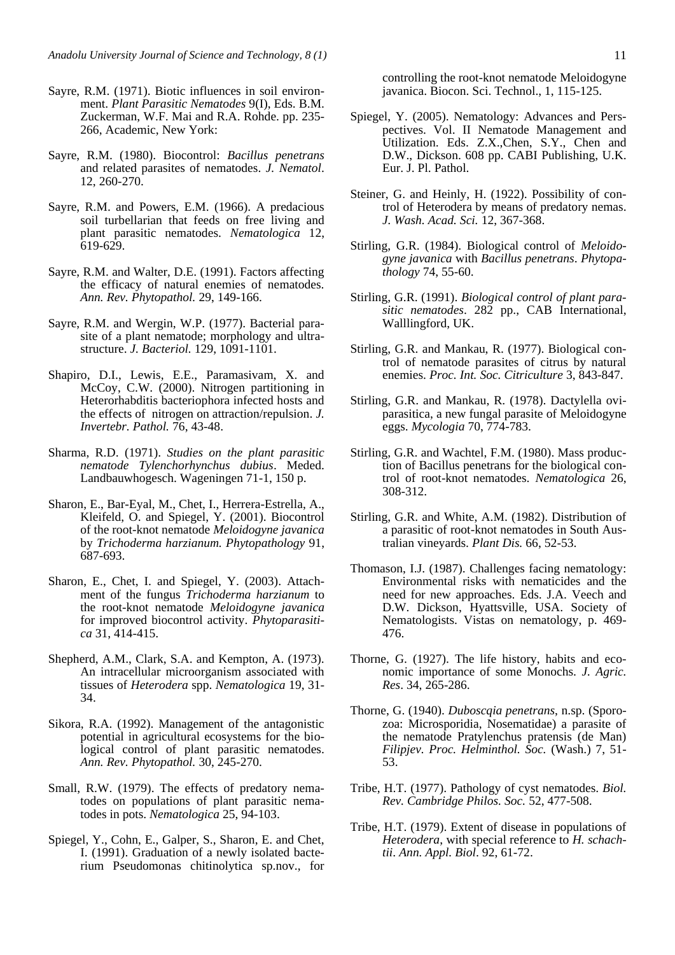- Sayre, R.M. (1971). Biotic influences in soil environment. *Plant Parasitic Nematodes* 9(I), Eds. B.M. Zuckerman, W.F. Mai and R.A. Rohde. pp. 235- 266, Academic, New York:
- Sayre, R.M. (1980). Biocontrol: *Bacillus penetrans* and related parasites of nematodes. *J. Nematol*. 12, 260-270.
- Sayre, R.M. and Powers, E.M. (1966). A predacious soil turbellarian that feeds on free living and plant parasitic nematodes. *Nematologica* 12, 619-629.
- Sayre, R.M. and Walter, D.E. (1991). Factors affecting the efficacy of natural enemies of nematodes. *Ann. Rev. Phytopathol.* 29, 149-166.
- Sayre, R.M. and Wergin, W.P. (1977). Bacterial parasite of a plant nematode; morphology and ultrastructure. *J. Bacteriol.* 129, 1091-1101.
- Shapiro, D.I., Lewis, E.E., Paramasivam, X. and McCoy, C.W. (2000). Nitrogen partitioning in Heterorhabditis bacteriophora infected hosts and the effects of nitrogen on attraction/repulsion. *J. Invertebr. Pathol.* 76, 43-48.
- Sharma, R.D. (1971). *Studies on the plant parasitic nematode Tylenchorhynchus dubius*. Meded. Landbauwhogesch. Wageningen 71-1, 150 p.
- Sharon, E., Bar-Eyal, M., Chet, I., Herrera-Estrella, A., Kleifeld, O. and Spiegel, Y. (2001). Biocontrol of the root-knot nematode *Meloidogyne javanica* by *Trichoderma harzianum. Phytopathology* 91, 687-693.
- Sharon, E., Chet, I. and Spiegel, Y. (2003). Attachment of the fungus *Trichoderma harzianum* to the root-knot nematode *Meloidogyne javanica* for improved biocontrol activity. *Phytoparasitica* 31, 414-415.
- Shepherd, A.M., Clark, S.A. and Kempton, A. (1973). An intracellular microorganism associated with tissues of *Heterodera* spp. *Nematologica* 19, 31- 34.
- Sikora, R.A. (1992). Management of the antagonistic potential in agricultural ecosystems for the biological control of plant parasitic nematodes. *Ann. Rev. Phytopathol.* 30, 245-270.
- Small, R.W. (1979). The effects of predatory nematodes on populations of plant parasitic nematodes in pots. *Nematologica* 25, 94-103.
- Spiegel, Y., Cohn, E., Galper, S., Sharon, E. and Chet, I. (1991). Graduation of a newly isolated bacterium Pseudomonas chitinolytica sp.nov., for

controlling the root-knot nematode Meloidogyne javanica. Biocon. Sci. Technol., 1, 115-125.

- Spiegel, Y. (2005). Nematology: Advances and Perspectives. Vol. II Nematode Management and Utilization. Eds. Z.X.,Chen, S.Y., Chen and D.W., Dickson. 608 pp. CABI Publishing, U.K. Eur. J. Pl. Pathol.
- Steiner, G. and Heinly, H. (1922). Possibility of control of Heterodera by means of predatory nemas. *J. Wash. Acad. Sci.* 12, 367-368.
- Stirling, G.R. (1984). Biological control of *Meloidogyne javanica* with *Bacillus penetrans*. *Phytopathology* 74, 55-60.
- Stirling, G.R. (1991). *Biological control of plant parasitic nematodes*. 282 pp., CAB International, Walllingford, UK.
- Stirling, G.R. and Mankau, R. (1977). Biological control of nematode parasites of citrus by natural enemies. *Proc. Int. Soc. Citriculture* 3, 843-847.
- Stirling, G.R. and Mankau, R. (1978). Dactylella oviparasitica, a new fungal parasite of Meloidogyne eggs. *Mycologia* 70, 774-783.
- Stirling, G.R. and Wachtel, F.M. (1980). Mass production of Bacillus penetrans for the biological control of root-knot nematodes. *Nematologica* 26, 308-312.
- Stirling, G.R. and White, A.M. (1982). Distribution of a parasitic of root-knot nematodes in South Australian vineyards. *Plant Dis.* 66, 52-53.
- Thomason, I.J. (1987). Challenges facing nematology: Environmental risks with nematicides and the need for new approaches. Eds. J.A. Veech and D.W. Dickson, Hyattsville, USA. Society of Nematologists. Vistas on nematology, p. 469- 476.
- Thorne, G. (1927). The life history, habits and economic importance of some Monochs. *J. Agric. Res*. 34, 265-286.
- Thorne, G. (1940). *Duboscqia penetrans*, n.sp. (Sporozoa: Microsporidia, Nosematidae) a parasite of the nematode Pratylenchus pratensis (de Man) *Filipjev. Proc. Helminthol. Soc.* (Wash.) 7, 51- 53.
- Tribe, H.T. (1977). Pathology of cyst nematodes. *Biol. Rev. Cambridge Philos. Soc.* 52, 477-508.
- Tribe, H.T. (1979). Extent of disease in populations of *Heterodera*, with special reference to *H. schachtii*. *Ann. Appl. Biol*. 92, 61-72.